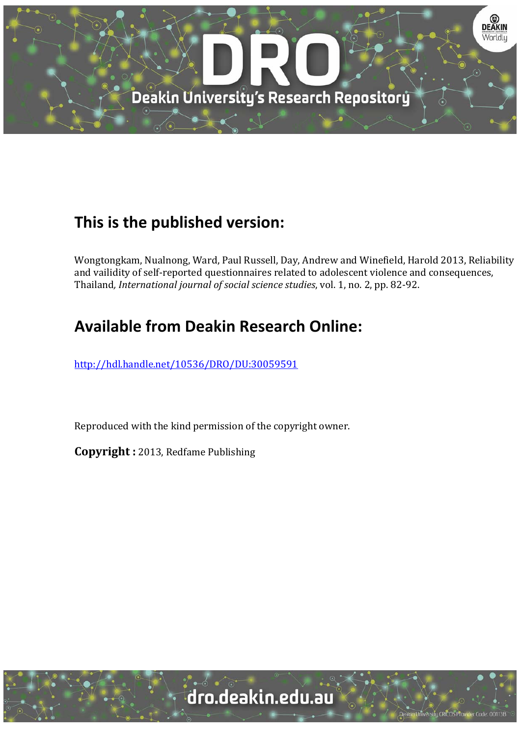

# **This is the published version:**

Wongtongkam, Nualnong, Ward, Paul Russell, Day, Andrew and Winefield, Harold 2013, Reliability and vailidity of self-reported questionnaires related to adolescent violence and consequences, Thailand*, International journal of social science studies*, vol. 1, no. 2, pp. 82‐92. 

# **Available from Deakin Research Online:**

http://hdl.handle.net/10536/DRO/DU:30059591

Reproduced with the kind permission of the copyright owner.

**Copyright** : 2013, Redfame Publishing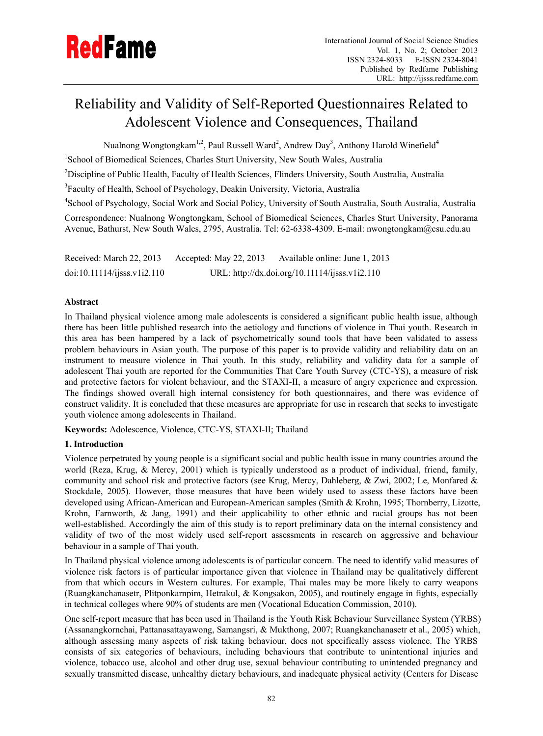# Reliability and Validity of Self-Reported Questionnaires Related to Adolescent Violence and Consequences, Thailand

Nualnong Wongtongkam $^{1,2}$ , Paul Russell Ward $^2$ , Andrew Day $^3$ , Anthony Harold Winefield $^4$ 

<sup>1</sup>School of Biomedical Sciences, Charles Sturt University, New South Wales, Australia

<sup>2</sup>Discipline of Public Health, Faculty of Health Sciences, Flinders University, South Australia, Australia

<sup>3</sup>Faculty of Health, School of Psychology, Deakin University, Victoria, Australia

4 School of Psychology, Social Work and Social Policy, University of South Australia, South Australia, Australia

Correspondence: Nualnong Wongtongkam, School of Biomedical Sciences, Charles Sturt University, Panorama Avenue, Bathurst, New South Wales, 2795, Australia. Tel: 62-6338-4309. E-mail: nwongtongkam@csu.edu.au

Received: March 22, 2013 Accepted: May 22, 2013 Available online: June 1, 2013 doi:10.11114/ijsss.v1i2.110 URL: http://dx.doi.org/10.11114/ijsss.v1i2.110

## **Abstract**

In Thailand physical violence among male adolescents is considered a significant public health issue, although there has been little published research into the aetiology and functions of violence in Thai youth. Research in this area has been hampered by a lack of psychometrically sound tools that have been validated to assess problem behaviours in Asian youth. The purpose of this paper is to provide validity and reliability data on an instrument to measure violence in Thai youth. In this study, reliability and validity data for a sample of adolescent Thai youth are reported for the Communities That Care Youth Survey (CTC-YS), a measure of risk and protective factors for violent behaviour, and the STAXI-II, a measure of angry experience and expression. The findings showed overall high internal consistency for both questionnaires, and there was evidence of construct validity. It is concluded that these measures are appropriate for use in research that seeks to investigate youth violence among adolescents in Thailand.

**Keywords:** Adolescence, Violence, CTC-YS, STAXI-II; Thailand

## **1. Introduction**

Violence perpetrated by young people is a significant social and public health issue in many countries around the world (Reza, Krug, & Mercy, 2001) which is typically understood as a product of individual, friend, family, community and school risk and protective factors (see Krug, Mercy, Dahleberg, & Zwi, 2002; Le, Monfared & Stockdale, 2005). However, those measures that have been widely used to assess these factors have been developed using African-American and European-American samples (Smith & Krohn, 1995; Thornberry, Lizotte, Krohn, Farnworth, & Jang, 1991) and their applicability to other ethnic and racial groups has not been well-established. Accordingly the aim of this study is to report preliminary data on the internal consistency and validity of two of the most widely used self-report assessments in research on aggressive and behaviour behaviour in a sample of Thai youth.

In Thailand physical violence among adolescents is of particular concern. The need to identify valid measures of violence risk factors is of particular importance given that violence in Thailand may be qualitatively different from that which occurs in Western cultures. For example, Thai males may be more likely to carry weapons (Ruangkanchanasetr, Plitponkarnpim, Hetrakul, & Kongsakon, 2005), and routinely engage in fights, especially in technical colleges where 90% of students are men (Vocational Education Commission, 2010).

One self-report measure that has been used in Thailand is the Youth Risk Behaviour Surveillance System (YRBS) (Assanangkornchai, Pattanasattayawong, Samangsri, & Mukthong, 2007; Ruangkanchanasetr et al., 2005) which, although assessing many aspects of risk taking behaviour, does not specifically assess violence. The YRBS consists of six categories of behaviours, including behaviours that contribute to unintentional injuries and violence, tobacco use, alcohol and other drug use, sexual behaviour contributing to unintended pregnancy and sexually transmitted disease, unhealthy dietary behaviours, and inadequate physical activity (Centers for Disease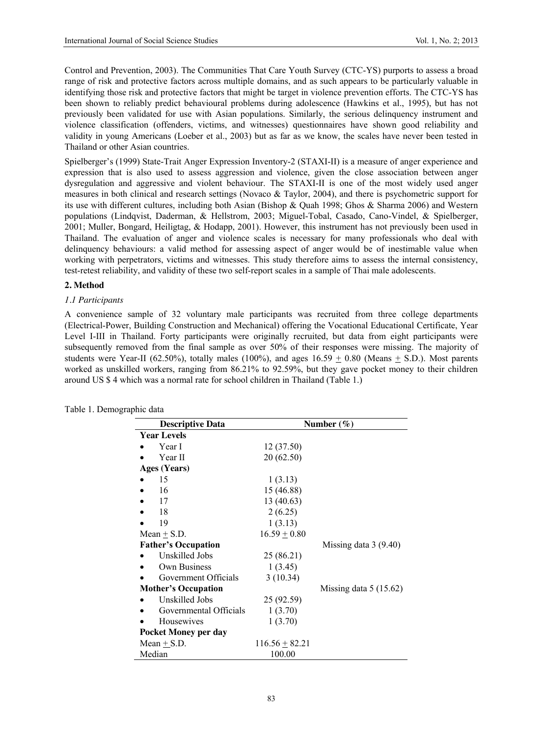Control and Prevention, 2003). The Communities That Care Youth Survey (CTC-YS) purports to assess a broad range of risk and protective factors across multiple domains, and as such appears to be particularly valuable in identifying those risk and protective factors that might be target in violence prevention efforts. The CTC-YS has been shown to reliably predict behavioural problems during adolescence (Hawkins et al., 1995), but has not previously been validated for use with Asian populations. Similarly, the serious delinquency instrument and violence classification (offenders, victims, and witnesses) questionnaires have shown good reliability and validity in young Americans (Loeber et al., 2003) but as far as we know, the scales have never been tested in Thailand or other Asian countries.

Spielberger's (1999) State-Trait Anger Expression Inventory-2 (STAXI-II) is a measure of anger experience and expression that is also used to assess aggression and violence, given the close association between anger dysregulation and aggressive and violent behaviour. The STAXI-II is one of the most widely used anger measures in both clinical and research settings (Novaco & Taylor, 2004), and there is psychometric support for its use with different cultures, including both Asian (Bishop & Quah 1998; Ghos & Sharma 2006) and Western populations (Lindqvist, Daderman, & Hellstrom, 2003; Miguel-Tobal, Casado, Cano-Vindel, & Spielberger, 2001; Muller, Bongard, Heiligtag, & Hodapp, 2001). However, this instrument has not previously been used in Thailand. The evaluation of anger and violence scales is necessary for many professionals who deal with delinquency behaviours: a valid method for assessing aspect of anger would be of inestimable value when working with perpetrators, victims and witnesses. This study therefore aims to assess the internal consistency, test-retest reliability, and validity of these two self-report scales in a sample of Thai male adolescents.

#### **2. Method**

#### *1.1 Participants*

A convenience sample of 32 voluntary male participants was recruited from three college departments (Electrical-Power, Building Construction and Mechanical) offering the Vocational Educational Certificate, Year Level I-III in Thailand. Forty participants were originally recruited, but data from eight participants were subsequently removed from the final sample as over 50% of their responses were missing. The majority of students were Year-II (62.50%), totally males (100%), and ages  $16.59 + 0.80$  (Means  $+$  S.D.). Most parents worked as unskilled workers, ranging from 86.21% to 92.59%, but they gave pocket money to their children around US \$ 4 which was a normal rate for school children in Thailand (Table 1.)

| <b>Descriptive Data</b>    |                    | Number $(\%)$           |
|----------------------------|--------------------|-------------------------|
| <b>Year Levels</b>         |                    |                         |
| Year I                     | 12 (37.50)         |                         |
| Year II                    | 20 (62.50)         |                         |
| <b>Ages (Years)</b>        |                    |                         |
| 15                         | 1(3.13)            |                         |
| 16                         | 15 (46.88)         |                         |
| 17                         | 13 (40.63)         |                         |
| 18                         | 2(6.25)            |                         |
| 19                         | 1(3.13)            |                         |
| Mean $+$ S.D.              | $16.59 + 0.80$     |                         |
| <b>Father's Occupation</b> |                    | Missing data $3(9.40)$  |
| Unskilled Jobs             | 25 (86.21)         |                         |
| Own Business               | 1(3.45)            |                         |
| Government Officials       | 3(10.34)           |                         |
| <b>Mother's Occupation</b> |                    | Missing data $5(15.62)$ |
| Unskilled Jobs             | 25 (92.59)         |                         |
| Governmental Officials     | 1(3.70)            |                         |
| Housewives                 | 1(3.70)            |                         |
| Pocket Money per day       |                    |                         |
| Mean $+$ S.D.              | $116.56 \pm 82.21$ |                         |
| Median                     | 100.00             |                         |

|  |  | Table 1. Demographic data |  |  |
|--|--|---------------------------|--|--|
|--|--|---------------------------|--|--|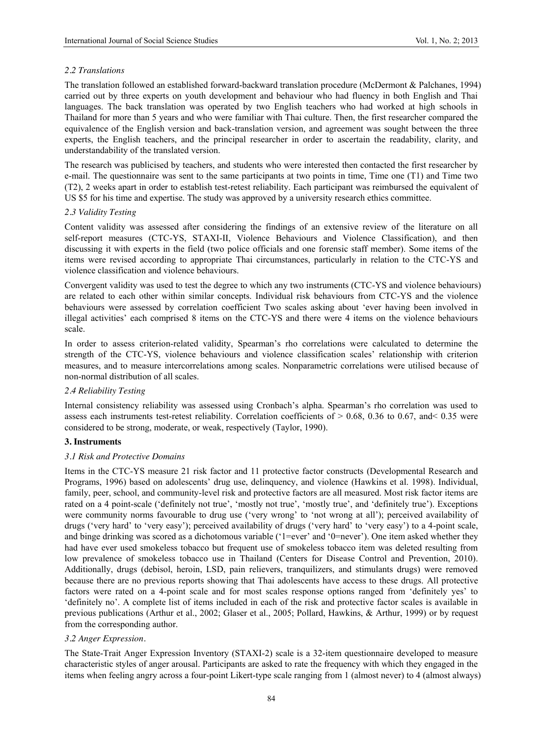#### *2.2 Translations*

The translation followed an established forward-backward translation procedure (McDermont & Palchanes, 1994) carried out by three experts on youth development and behaviour who had fluency in both English and Thai languages. The back translation was operated by two English teachers who had worked at high schools in Thailand for more than 5 years and who were familiar with Thai culture. Then, the first researcher compared the equivalence of the English version and back-translation version, and agreement was sought between the three experts, the English teachers, and the principal researcher in order to ascertain the readability, clarity, and understandability of the translated version.

The research was publicised by teachers, and students who were interested then contacted the first researcher by e-mail. The questionnaire was sent to the same participants at two points in time, Time one (T1) and Time two (T2), 2 weeks apart in order to establish test-retest reliability. Each participant was reimbursed the equivalent of US \$5 for his time and expertise. The study was approved by a university research ethics committee.

#### *2.3 Validity Testing*

Content validity was assessed after considering the findings of an extensive review of the literature on all self-report measures (CTC-YS, STAXI-II, Violence Behaviours and Violence Classification), and then discussing it with experts in the field (two police officials and one forensic staff member). Some items of the items were revised according to appropriate Thai circumstances, particularly in relation to the CTC-YS and violence classification and violence behaviours.

Convergent validity was used to test the degree to which any two instruments (CTC-YS and violence behaviours) are related to each other within similar concepts. Individual risk behaviours from CTC-YS and the violence behaviours were assessed by correlation coefficient Two scales asking about 'ever having been involved in illegal activities' each comprised 8 items on the CTC-YS and there were 4 items on the violence behaviours scale.

In order to assess criterion-related validity, Spearman's rho correlations were calculated to determine the strength of the CTC-YS, violence behaviours and violence classification scales' relationship with criterion measures, and to measure intercorrelations among scales. Nonparametric correlations were utilised because of non-normal distribution of all scales.

#### *2.4 Reliability Testing*

Internal consistency reliability was assessed using Cronbach's alpha. Spearman's rho correlation was used to assess each instruments test-retest reliability. Correlation coefficients of  $> 0.68$ , 0.36 to 0.67, and < 0.35 were considered to be strong, moderate, or weak, respectively (Taylor, 1990).

#### **3. Instruments**

#### *3.1 Risk and Protective Domains*

Items in the CTC-YS measure 21 risk factor and 11 protective factor constructs (Developmental Research and Programs, 1996) based on adolescents' drug use, delinquency, and violence (Hawkins et al. 1998). Individual, family, peer, school, and community-level risk and protective factors are all measured. Most risk factor items are rated on a 4 point-scale ('definitely not true', 'mostly not true', 'mostly true', and 'definitely true'). Exceptions were community norms favourable to drug use ('very wrong' to 'not wrong at all'); perceived availability of drugs ('very hard' to 'very easy'); perceived availability of drugs ('very hard' to 'very easy') to a 4-point scale, and binge drinking was scored as a dichotomous variable ('1=ever' and '0=never'). One item asked whether they had have ever used smokeless tobacco but frequent use of smokeless tobacco item was deleted resulting from low prevalence of smokeless tobacco use in Thailand (Centers for Disease Control and Prevention, 2010). Additionally, drugs (debisol, heroin, LSD, pain relievers, tranquilizers, and stimulants drugs) were removed because there are no previous reports showing that Thai adolescents have access to these drugs. All protective factors were rated on a 4-point scale and for most scales response options ranged from 'definitely yes' to 'definitely no'. A complete list of items included in each of the risk and protective factor scales is available in previous publications (Arthur et al., 2002; Glaser et al., 2005; Pollard, Hawkins, & Arthur, 1999) or by request from the corresponding author.

## *3.2 Anger Expression.*

The State-Trait Anger Expression Inventory (STAXI-2) scale is a 32-item questionnaire developed to measure characteristic styles of anger arousal. Participants are asked to rate the frequency with which they engaged in the items when feeling angry across a four-point Likert-type scale ranging from 1 (almost never) to 4 (almost always)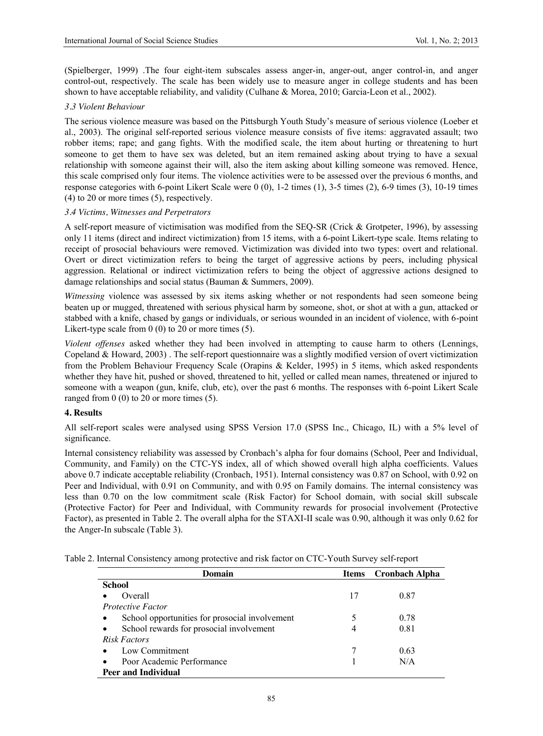(Spielberger, 1999) .The four eight-item subscales assess anger-in, anger-out, anger control-in, and anger control-out, respectively. The scale has been widely use to measure anger in college students and has been shown to have acceptable reliability, and validity (Culhane & Morea, 2010; Garcia-Leon et al., 2002).

#### *3.3 Violent Behaviour*

The serious violence measure was based on the Pittsburgh Youth Study's measure of serious violence (Loeber et al., 2003). The original self-reported serious violence measure consists of five items: aggravated assault; two robber items; rape; and gang fights. With the modified scale, the item about hurting or threatening to hurt someone to get them to have sex was deleted, but an item remained asking about trying to have a sexual relationship with someone against their will, also the item asking about killing someone was removed. Hence, this scale comprised only four items. The violence activities were to be assessed over the previous 6 months, and response categories with 6-point Likert Scale were 0 (0), 1-2 times (1), 3-5 times (2), 6-9 times (3), 10-19 times (4) to 20 or more times (5), respectively.

#### *3.4 Victims, Witnesses and Perpetrators*

A self-report measure of victimisation was modified from the SEQ-SR (Crick & Grotpeter, 1996), by assessing only 11 items (direct and indirect victimization) from 15 items, with a 6-point Likert-type scale. Items relating to receipt of prosocial behaviours were removed. Victimization was divided into two types: overt and relational. Overt or direct victimization refers to being the target of aggressive actions by peers, including physical aggression. Relational or indirect victimization refers to being the object of aggressive actions designed to damage relationships and social status (Bauman & Summers, 2009).

*Witnessing* violence was assessed by six items asking whether or not respondents had seen someone being beaten up or mugged, threatened with serious physical harm by someone, shot, or shot at with a gun, attacked or stabbed with a knife, chased by gangs or individuals, or serious wounded in an incident of violence, with 6-point Likert-type scale from 0 (0) to 20 or more times (5).

*Violent offenses* asked whether they had been involved in attempting to cause harm to others (Lennings, Copeland & Howard, 2003) . The self-report questionnaire was a slightly modified version of overt victimization from the Problem Behaviour Frequency Scale (Orapins & Kelder, 1995) in 5 items, which asked respondents whether they have hit, pushed or shoved, threatened to hit, yelled or called mean names, threatened or injured to someone with a weapon (gun, knife, club, etc), over the past 6 months. The responses with 6-point Likert Scale ranged from  $0(0)$  to  $20$  or more times  $(5)$ .

#### **4. Results**

All self-report scales were analysed using SPSS Version 17.0 (SPSS Inc., Chicago, IL) with a 5% level of significance.

Internal consistency reliability was assessed by Cronbach's alpha for four domains (School, Peer and Individual, Community, and Family) on the CTC-YS index, all of which showed overall high alpha coefficients. Values above 0.7 indicate acceptable reliability (Cronbach, 1951). Internal consistency was 0.87 on School, with 0.92 on Peer and Individual, with 0.91 on Community, and with 0.95 on Family domains. The internal consistency was less than 0.70 on the low commitment scale (Risk Factor) for School domain, with social skill subscale (Protective Factor) for Peer and Individual, with Community rewards for prosocial involvement (Protective Factor), as presented in Table 2. The overall alpha for the STAXI-II scale was 0.90, although it was only 0.62 for the Anger-In subscale (Table 3).

|  | Table 2. Internal Consistency among protective and risk factor on CTC-Youth Survey self-report |  |  |  |  |  |
|--|------------------------------------------------------------------------------------------------|--|--|--|--|--|
|  |                                                                                                |  |  |  |  |  |

| Domain                                                | Items | Cronbach Alpha |
|-------------------------------------------------------|-------|----------------|
| <b>School</b>                                         |       |                |
| Overall                                               | 17    | 0.87           |
| <b>Protective Factor</b>                              |       |                |
| School opportunities for prosocial involvement        |       | 0.78           |
| School rewards for prosocial involvement<br>$\bullet$ | 4     | 0.81           |
| Risk Factors                                          |       |                |
| Low Commitment                                        |       | 0.63           |
| Poor Academic Performance                             |       | N/A            |
| <b>Peer and Individual</b>                            |       |                |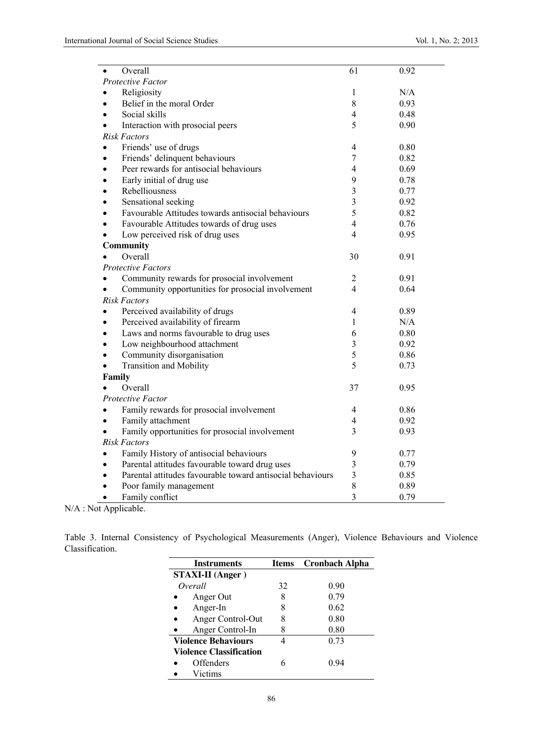| $\bullet$     | Overall                                                    | 61                      | 0.92 |
|---------------|------------------------------------------------------------|-------------------------|------|
|               | Protective Factor                                          |                         |      |
|               | Religiosity                                                | 1                       | N/A  |
|               | Belief in the moral Order                                  | $8\,$                   | 0.93 |
|               | Social skills                                              | 4                       | 0.48 |
|               | Interaction with prosocial peers                           | 5                       | 0.90 |
|               | <b>Risk Factors</b>                                        |                         |      |
|               | Friends' use of drugs                                      | 4                       | 0.80 |
| $\bullet$     | Friends' delinquent behaviours                             | 7                       | 0.82 |
|               | Peer rewards for antisocial behaviours                     | 4                       | 0.69 |
|               | Early initial of drug use                                  | 9                       | 0.78 |
|               | Rebelliousness                                             | 3                       | 0.77 |
|               | Sensational seeking                                        | 3                       | 0.92 |
|               | Favourable Attitudes towards antisocial behaviours         | 5                       | 0.82 |
|               | Favourable Attitudes towards of drug uses                  | $\overline{4}$          | 0.76 |
|               | Low perceived risk of drug uses                            | 4                       | 0.95 |
|               | Community                                                  |                         |      |
|               | Overall                                                    | 30                      | 0.91 |
|               | <b>Protective Factors</b>                                  |                         |      |
|               | Community rewards for prosocial involvement                | $\overline{2}$          | 0.91 |
|               | Community opportunities for prosocial involvement          | 4                       | 0.64 |
|               | <b>Risk Factors</b>                                        |                         |      |
|               | Perceived availability of drugs                            | 4                       | 0.89 |
| $\bullet$     | Perceived availability of firearm                          | 1                       | N/A  |
|               | Laws and norms favourable to drug uses                     | 6                       | 0.80 |
|               | Low neighbourhood attachment                               | $\overline{\mathbf{3}}$ | 0.92 |
|               | Community disorganisation                                  | 5                       | 0.86 |
|               | <b>Transition and Mobility</b>                             | 5                       | 0.73 |
| <b>Family</b> |                                                            |                         |      |
|               | Overall                                                    | 37                      | 0.95 |
|               | Protective Factor                                          |                         |      |
|               | Family rewards for prosocial involvement                   | 4                       | 0.86 |
|               | Family attachment                                          | 4                       | 0.92 |
|               | Family opportunities for prosocial involvement             | 3                       | 0.93 |
|               | <b>Risk Factors</b>                                        |                         |      |
|               | Family History of antisocial behaviours                    | 9                       | 0.77 |
|               | Parental attitudes favourable toward drug uses             | 3                       | 0.79 |
|               | Parental attitudes favourable toward antisocial behaviours | 3                       | 0.85 |
|               | Poor family management                                     | 8                       | 0.89 |
|               | Family conflict                                            | $\overline{3}$          | 0.79 |

N/A : Not Applicable.

Table 3. Internal Consistency of Psychological Measurements (Anger), Violence Behaviours and Violence Classification.

| <b>Instruments</b>             | <b>Items</b> | <b>Cronbach Alpha</b> |
|--------------------------------|--------------|-----------------------|
| <b>STAXI-II</b> (Anger)        |              |                       |
| Overall                        | 32           | 0.90                  |
| Anger Out                      | 8            | 0.79                  |
| Anger-In                       | 8            | 0.62                  |
| Anger Control-Out              | 8            | 0.80                  |
| Anger Control-In               |              | 0.80                  |
| <b>Violence Behaviours</b>     |              | 0.73                  |
| <b>Violence Classification</b> |              |                       |
| Offenders                      |              | 0 94                  |
| Victims                        |              |                       |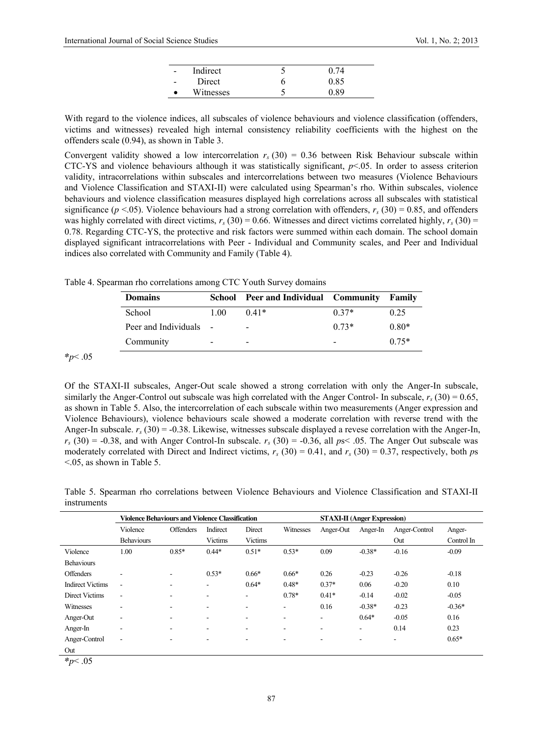| $\overline{\phantom{a}}$ | Indirect  |   |      |
|--------------------------|-----------|---|------|
| $\overline{\phantom{a}}$ | Direct    | O | 0.85 |
|                          | Witnesses |   | ) 89 |

With regard to the violence indices, all subscales of violence behaviours and violence classification (offenders, victims and witnesses) revealed high internal consistency reliability coefficients with the highest on the offenders scale (0.94), as shown in Table 3.

Convergent validity showed a low intercorrelation  $r_s$  (30) = 0.36 between Risk Behaviour subscale within CTC-YS and violence behaviours although it was statistically significant,  $p < 0.05$ . In order to assess criterion validity, intracorrelations within subscales and intercorrelations between two measures (Violence Behaviours and Violence Classification and STAXI-II) were calculated using Spearman's rho. Within subscales, violence behaviours and violence classification measures displayed high correlations across all subscales with statistical significance ( $p < .05$ ). Violence behaviours had a strong correlation with offenders,  $r_s$  (30) = 0.85, and offenders was highly correlated with direct victims,  $r_s$  (30) = 0.66. Witnesses and direct victims correlated highly,  $r_s$  (30) = 0.78. Regarding CTC-YS, the protective and risk factors were summed within each domain. The school domain displayed significant intracorrelations with Peer - Individual and Community scales, and Peer and Individual indices also correlated with Community and Family (Table 4).

Table 4. Spearman rho correlations among CTC Youth Survey domains

| <b>Domains</b>         | School                   | <b>Peer and Individual Community</b> |         | Family  |
|------------------------|--------------------------|--------------------------------------|---------|---------|
| School                 | 1 00                     | $0.41*$                              | $0.37*$ | 0.25    |
| Peer and Individuals - |                          | -                                    | $0.73*$ | $0.80*$ |
| Community              | $\overline{\phantom{0}}$ | $\overline{\phantom{0}}$             |         | $0.75*$ |

*\*p*< .05

Of the STAXI-II subscales, Anger-Out scale showed a strong correlation with only the Anger-In subscale, similarly the Anger-Control out subscale was high correlated with the Anger Control- In subscale,  $r_s$  (30) = 0.65, as shown in Table 5. Also, the intercorrelation of each subscale within two measurements (Anger expression and Violence Behaviours), violence behaviours scale showed a moderate correlation with reverse trend with the Anger-In subscale.  $r_s$  (30) = -0.38. Likewise, witnesses subscale displayed a revese correlation with the Anger-In,  $r_s$  (30) = -0.38, and with Anger Control-In subscale.  $r_s$  (30) = -0.36, all  $ps<$  .05. The Anger Out subscale was moderately correlated with Direct and Indirect victims,  $r_s$  (30) = 0.41, and  $r_s$  (30) = 0.37, respectively, both *ps*  $\leq$ .05, as shown in Table 5.

Table 5. Spearman rho correlations between Violence Behaviours and Violence Classification and STAXI-II instruments

|                         | <b>Violence Behaviours and Violence Classification</b> |                          |                          |                | <b>STAXI-II</b> (Anger Expression) |                          |                              |               |            |
|-------------------------|--------------------------------------------------------|--------------------------|--------------------------|----------------|------------------------------------|--------------------------|------------------------------|---------------|------------|
|                         | Violence                                               | <b>Offenders</b>         | Indirect                 | Direct         | Witnesses                          | Anger-Out                | Anger-In                     | Anger-Control | Anger-     |
|                         | <b>Behaviours</b>                                      |                          | <b>Victims</b>           | <b>Victims</b> |                                    |                          |                              | Out           | Control In |
| Violence                | 1.00                                                   | $0.85*$                  | $0.44*$                  | $0.51*$        | $0.53*$                            | 0.09                     | $-0.38*$                     | $-0.16$       | $-0.09$    |
| <b>Behaviours</b>       |                                                        |                          |                          |                |                                    |                          |                              |               |            |
| <b>Offenders</b>        | $\overline{\phantom{a}}$                               | $\blacksquare$           | $0.53*$                  | $0.66*$        | $0.66*$                            | 0.26                     | $-0.23$                      | $-0.26$       | $-0.18$    |
| <b>Indirect Victims</b> | $\blacksquare$                                         | $\overline{\phantom{0}}$ | $\overline{\phantom{0}}$ | $0.64*$        | $0.48*$                            | $0.37*$                  | 0.06                         | $-0.20$       | 0.10       |
| Direct Victims          | $\overline{\phantom{a}}$                               | $\blacksquare$           | ۰                        |                | $0.78*$                            | $0.41*$                  | $-0.14$                      | $-0.02$       | $-0.05$    |
| Witnesses               | $\overline{\phantom{a}}$                               | $\overline{\phantom{a}}$ | ۰                        | ۰              | $\overline{\phantom{a}}$           | 0.16                     | $-0.38*$                     | $-0.23$       | $-0.36*$   |
| Anger-Out               | $\overline{\phantom{a}}$                               | $\overline{\phantom{a}}$ | ۰                        | ۰              | $\overline{\phantom{a}}$           | $\overline{\phantom{0}}$ | $0.64*$                      | $-0.05$       | 0.16       |
| Anger-In                | ٠                                                      | $\overline{\phantom{a}}$ | ۰.                       |                | $\overline{\phantom{a}}$           | ۰                        | $\qquad \qquad \blacksquare$ | 0.14          | 0.23       |
| Anger-Control           | $\overline{\phantom{a}}$                               | $\overline{\phantom{a}}$ | ۰                        | -              | $\overline{\phantom{a}}$           | $\overline{\phantom{a}}$ | ۰                            | ۰             | $0.65*$    |
| Out                     |                                                        |                          |                          |                |                                    |                          |                              |               |            |

*\*p*< .05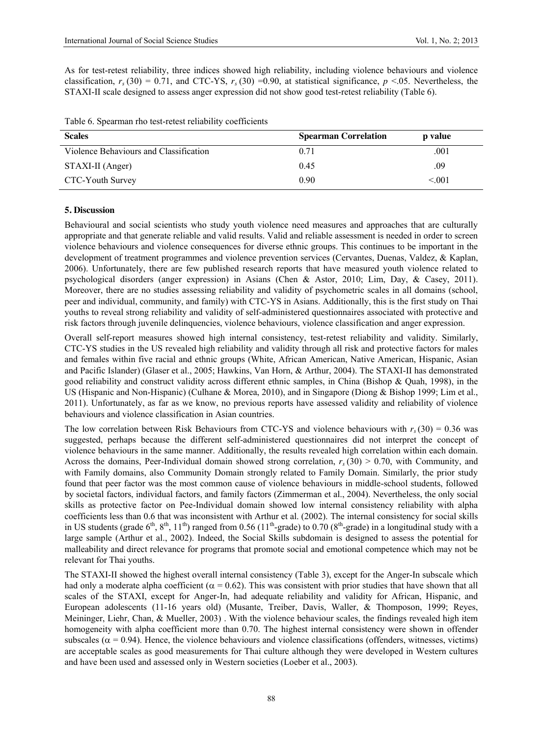As for test-retest reliability, three indices showed high reliability, including violence behaviours and violence classification,  $r_s(30) = 0.71$ , and CTC-YS,  $r_s(30) = 0.90$ , at statistical significance,  $p \le 0.05$ . Nevertheless, the STAXI-II scale designed to assess anger expression did not show good test-retest reliability (Table 6).

| Table 6. Spearman rho test-retest reliability coefficients |  |
|------------------------------------------------------------|--|
|------------------------------------------------------------|--|

| <b>Scales</b>                          | <b>Spearman Correlation</b> | p value |
|----------------------------------------|-----------------------------|---------|
| Violence Behaviours and Classification | 0.71                        | .001    |
| STAXI-II (Anger)                       | 0.45                        | .09     |
| CTC-Youth Survey                       | 0.90                        | < 001   |

#### **5. Discussion**

Behavioural and social scientists who study youth violence need measures and approaches that are culturally appropriate and that generate reliable and valid results. Valid and reliable assessment is needed in order to screen violence behaviours and violence consequences for diverse ethnic groups. This continues to be important in the development of treatment programmes and violence prevention services (Cervantes, Duenas, Valdez, & Kaplan, 2006). Unfortunately, there are few published research reports that have measured youth violence related to psychological disorders (anger expression) in Asians (Chen & Astor, 2010; Lim, Day, & Casey, 2011). Moreover, there are no studies assessing reliability and validity of psychometric scales in all domains (school, peer and individual, community, and family) with CTC-YS in Asians. Additionally, this is the first study on Thai youths to reveal strong reliability and validity of self-administered questionnaires associated with protective and risk factors through juvenile delinquencies, violence behaviours, violence classification and anger expression.

Overall self-report measures showed high internal consistency, test-retest reliability and validity. Similarly, CTC-YS studies in the US revealed high reliability and validity through all risk and protective factors for males and females within five racial and ethnic groups (White, African American, Native American, Hispanic, Asian and Pacific Islander) (Glaser et al., 2005; Hawkins, Van Horn, & Arthur, 2004). The STAXI-II has demonstrated good reliability and construct validity across different ethnic samples, in China (Bishop & Quah, 1998), in the US (Hispanic and Non-Hispanic) (Culhane & Morea, 2010), and in Singapore (Diong & Bishop 1999; Lim et al., 2011). Unfortunately, as far as we know, no previous reports have assessed validity and reliability of violence behaviours and violence classification in Asian countries.

The low correlation between Risk Behaviours from CTC-YS and violence behaviours with  $r_s(30) = 0.36$  was suggested, perhaps because the different self-administered questionnaires did not interpret the concept of violence behaviours in the same manner. Additionally, the results revealed high correlation within each domain. Across the domains, Peer-Individual domain showed strong correlation,  $r_s(30) > 0.70$ , with Community, and with Family domains, also Community Domain strongly related to Family Domain. Similarly, the prior study found that peer factor was the most common cause of violence behaviours in middle-school students, followed by societal factors, individual factors, and family factors (Zimmerman et al., 2004). Nevertheless, the only social skills as protective factor on Pee-Individual domain showed low internal consistency reliability with alpha coefficients less than 0.6 that was inconsistent with Arthur et al. (2002). The internal consistency for social skills in US students (grade  $6<sup>th</sup>$ ,  $8<sup>th</sup>$ ,  $11<sup>th</sup>$ ) ranged from 0.56 ( $11<sup>th</sup>$ -grade) to 0.70 ( $8<sup>th</sup>$ -grade) in a longitudinal study with a large sample (Arthur et al., 2002). Indeed, the Social Skills subdomain is designed to assess the potential for malleability and direct relevance for programs that promote social and emotional competence which may not be relevant for Thai youths.

The STAXI-II showed the highest overall internal consistency (Table 3), except for the Anger-In subscale which had only a moderate alpha coefficient ( $\alpha = 0.62$ ). This was consistent with prior studies that have shown that all scales of the STAXI, except for Anger-In, had adequate reliability and validity for African, Hispanic, and European adolescents (11-16 years old) (Musante, Treiber, Davis, Waller, & Thomposon, 1999; Reyes, Meininger, Liehr, Chan, & Mueller, 2003) . With the violence behaviour scales, the findings revealed high item homogeneity with alpha coefficient more than 0.70. The highest internal consistency were shown in offender subscales ( $\alpha$  = 0.94). Hence, the violence behaviours and violence classifications (offenders, witnesses, victims) are acceptable scales as good measurements for Thai culture although they were developed in Western cultures and have been used and assessed only in Western societies (Loeber et al., 2003).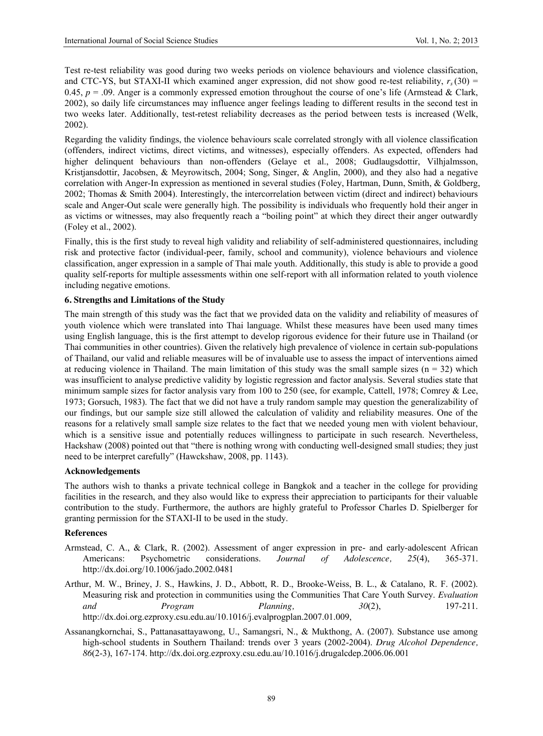Test re-test reliability was good during two weeks periods on violence behaviours and violence classification, and CTC-YS, but STAXI-II which examined anger expression, did not show good re-test reliability,  $r_s(30)$  = 0.45,  $p = 0.09$ . Anger is a commonly expressed emotion throughout the course of one's life (Armstead & Clark, 2002), so daily life circumstances may influence anger feelings leading to different results in the second test in two weeks later. Additionally, test-retest reliability decreases as the period between tests is increased (Welk, 2002).

Regarding the validity findings, the violence behaviours scale correlated strongly with all violence classification (offenders, indirect victims, direct victims, and witnesses), especially offenders. As expected, offenders had higher delinquent behaviours than non-offenders (Gelaye et al., 2008; Gudlaugsdottir, Vilhjalmsson, Kristjansdottir, Jacobsen, & Meyrowitsch, 2004; Song, Singer, & Anglin, 2000), and they also had a negative correlation with Anger-In expression as mentioned in several studies (Foley, Hartman, Dunn, Smith, & Goldberg, 2002; Thomas & Smith 2004). Interestingly, the intercorrelation between victim (direct and indirect) behaviours scale and Anger-Out scale were generally high. The possibility is individuals who frequently hold their anger in as victims or witnesses, may also frequently reach a "boiling point" at which they direct their anger outwardly (Foley et al., 2002).

Finally, this is the first study to reveal high validity and reliability of self-administered questionnaires, including risk and protective factor (individual-peer, family, school and community), violence behaviours and violence classification, anger expression in a sample of Thai male youth. Additionally, this study is able to provide a good quality self-reports for multiple assessments within one self-report with all information related to youth violence including negative emotions.

#### **6. Strengths and Limitations of the Study**

The main strength of this study was the fact that we provided data on the validity and reliability of measures of youth violence which were translated into Thai language. Whilst these measures have been used many times using English language, this is the first attempt to develop rigorous evidence for their future use in Thailand (or Thai communities in other countries). Given the relatively high prevalence of violence in certain sub-populations of Thailand, our valid and reliable measures will be of invaluable use to assess the impact of interventions aimed at reducing violence in Thailand. The main limitation of this study was the small sample sizes ( $n = 32$ ) which was insufficient to analyse predictive validity by logistic regression and factor analysis. Several studies state that minimum sample sizes for factor analysis vary from 100 to 250 (see, for example, Cattell, 1978; Comrey & Lee, 1973; Gorsuch, 1983). The fact that we did not have a truly random sample may question the generalizability of our findings, but our sample size still allowed the calculation of validity and reliability measures. One of the reasons for a relatively small sample size relates to the fact that we needed young men with violent behaviour, which is a sensitive issue and potentially reduces willingness to participate in such research. Nevertheless, Hackshaw (2008) pointed out that "there is nothing wrong with conducting well-designed small studies; they just need to be interpret carefully" (Hawckshaw, 2008, pp. 1143).

#### **Acknowledgements**

The authors wish to thanks a private technical college in Bangkok and a teacher in the college for providing facilities in the research, and they also would like to express their appreciation to participants for their valuable contribution to the study. Furthermore, the authors are highly grateful to Professor Charles D. Spielberger for granting permission for the STAXI-II to be used in the study.

#### **References**

- Armstead, C. A., & Clark, R. (2002). Assessment of anger expression in pre- and early-adolescent African Americans: Psychometric considerations. *Journal of Adolescence, 25*(4), 365-371. http://dx.doi.org/10.1006/jado.2002.0481
- Arthur, M. W., Briney, J. S., Hawkins, J. D., Abbott, R. D., Brooke-Weiss, B. L., & Catalano, R. F. (2002). Measuring risk and protection in communities using the Communities That Care Youth Survey. *Evaluation and Program Planning, 30*(2), 197-211. [http://dx.doi.org.ezproxy.csu.edu.au/10.1016/j.evalprogplan.2007.01.009,](http://dx.doi.org.ezproxy.csu.edu.au/10.1016/j.evalprogplan.2007.01.009)
- Assanangkornchai, S., Pattanasattayawong, U., Samangsri, N., & Mukthong, A. (2007). Substance use among high-school students in Southern Thailand: trends over 3 years (2002-2004). *Drug Alcohol Dependence, 86*(2-3), 167-174.<http://dx.doi.org.ezproxy.csu.edu.au/10.1016/j.drugalcdep.2006.06.001>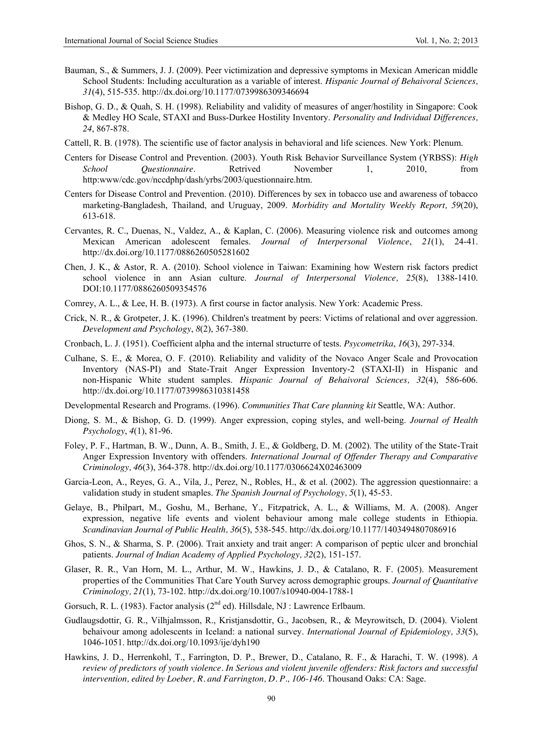- Bauman, S., & Summers, J. J. (2009). Peer victimization and depressive symptoms in Mexican American middle School Students: Including acculturation as a variable of interest. *Hispanic Journal of Behaivoral Sciences, 31*(4), 515-535. http://dx.doi.org/10.1177/0739986309346694
- Bishop, G. D., & Quah, S. H. (1998). Reliability and validity of measures of anger/hostility in Singapore: Cook & Medley HO Scale, STAXI and Buss-Durkee Hostility Inventory. *Personality and Individual Differences, 24*, 867-878.
- Cattell, R. B. (1978). The scientific use of factor analysis in behavioral and life sciences. New York: Plenum.
- Centers for Disease Control and Prevention. (2003). Youth Risk Behavior Surveillance System (YRBSS): *High School Questionnaire*. Retrived November 1, 2010, from http:www/cdc.gov/nccdphp/dash/yrbs/2003/questionnaire.htm.
- Centers for Disease Control and Prevention. (2010). Differences by sex in tobacco use and awareness of tobacco marketing-Bangladesh, Thailand, and Uruguay, 2009. *Morbidity and Mortality Weekly Report, 59*(20), 613-618.
- Cervantes, R. C., Duenas, N., Valdez, A., & Kaplan, C. (2006). Measuring violence risk and outcomes among Mexican American adolescent females. *Journal of Interpersonal Violence*, *21*(1), 24-41. http://dx.doi.org/10.1177/0886260505281602
- Chen, J. K., & Astor, R. A. (2010). School violence in Taiwan: Examining how Western risk factors predict school violence in ann Asian culture. *Journal of Interpersonal Violence, 25*(8), 1388-1410. DOI:10.1177/0886260509354576
- Comrey, A. L., & Lee, H. B. (1973). A first course in factor analysis. New York: Academic Press.
- Crick, N. R., & Grotpeter, J. K. (1996). Children's treatment by peers: Victims of relational and over aggression. *Development and Psychology*, *8*(2), 367-380.
- Cronbach, L. J. (1951). Coefficient alpha and the internal structurre of tests. *Psycometrika*, *16*(3), 297-334.
- Culhane, S. E., & Morea, O. F. (2010). Reliability and validity of the Novaco Anger Scale and Provocation Inventory (NAS-PI) and State-Trait Anger Expression Inventory-2 (STAXI-II) in Hispanic and non-Hispanic White student samples. *Hispanic Journal of Behaivoral Sciences, 32*(4), 586-606. http://dx.doi.org/10.1177/0739986310381458
- Developmental Research and Programs. (1996). *Communities That Care planning kit* Seattle, WA: Author.
- Diong, S. M., & Bishop, G. D. (1999). Anger expression, coping styles, and well-being. *Journal of Health Psychology*, *4*(1), 81-96.
- Foley, P. F., Hartman, B. W., Dunn, A. B., Smith, J. E., & Goldberg, D. M. (2002). The utility of the State-Trait Anger Expression Inventory with offenders. *International Journal of Offender Therapy and Comparative Criminology, 46*(3), 364-378. http://dx.doi.org/10.1177/0306624X02463009
- Garcia-Leon, A., Reyes, G. A., Vila, J., Perez, N., Robles, H., & et al. (2002). The aggression questionnaire: a validation study in student smaples. *The Spanish Journal of Psychology, 5*(1), 45-53.
- Gelaye, B., Philpart, M., Goshu, M., Berhane, Y., Fitzpatrick, A. L., & Williams, M. A. (2008). Anger expression, negative life events and violent behaviour among male college students in Ethiopia. *Scandinavian Journal of Public Health, 36*(5), 538-545. http://dx.doi.org/10.1177/1403494807086916
- Ghos, S. N., & Sharma, S. P. (2006). Trait anxiety and trait anger: A comparison of peptic ulcer and bronchial patients. *Journal of Indian Academy of Applied Psychology, 32*(2), 151-157.
- Glaser, R. R., Van Horn, M. L., Arthur, M. W., Hawkins, J. D., & Catalano, R. F. (2005). Measurement properties of the Communities That Care Youth Survey across demographic groups. *Journal of Quantitative Criminology, 21*(1), 73-102. http://dx.doi.org/10.1007/s10940-004-1788-1
- Gorsuch, R. L. (1983). Factor analysis ( $2<sup>nd</sup>$  ed). Hillsdale, NJ : Lawrence Erlbaum.
- Gudlaugsdottir, G. R., Vilhjalmsson, R., Kristjansdottir, G., Jacobsen, R., & Meyrowitsch, D. (2004). Violent behaivour among adolescents in Iceland: a national survey. *International Journal of Epidemiology, 33*(5), 1046-1051. http://dx.doi.org/10.1093/ije/dyh190
- Hawkins, J. D., Herrenkohl, T., Farrington, D. P., Brewer, D., Catalano, R. F., & Harachi, T. W. (1998). *A review of predictors of youth violence. In Serious and violent juvenile offenders: Risk factors and successful intervention, edited by Loeber, R. and Farrington, D. P., 106-146*. Thousand Oaks: CA: Sage.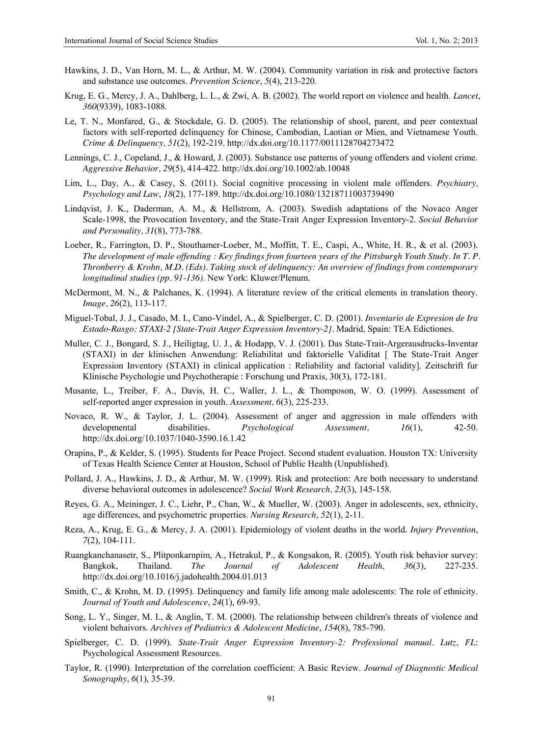- Hawkins, J. D., Van Horn, M. L., & Arthur, M. W. (2004). Community variation in risk and protective factors and substance use outcomes. *Prevention Science*, *5*(4), 213-220.
- Krug, E. G., Mercy, J. A., Dahlberg, L. L., & Zwi, A. B. (2002). The world report on violence and health. *Lancet*, *360*(9339), 1083-1088.
- Le, T. N., Monfared, G., & Stockdale, G. D. (2005). The relationship of shool, parent, and peer contextual factors with self-reported delinquency for Chinese, Cambodian, Laotian or Mien, and Vietnamese Youth. *Crime & Delinquency, 51*(2), 192-219. http://dx.doi.org/10.1177/0011128704273472
- Lennings, C. J., Copeland, J., & Howard, J. (2003). Substance use patterns of young offenders and violent crime. *Aggressive Behavior, 29*(5), 414-422. http://dx.doi.org/10.1002/ab.10048
- Lim, L., Day, A., & Casey, S. (2011). Social cognitive processing in violent male offenders. *Psychiatry, Psychology and Law*, *18*(2), 177-189. http://dx.doi.org/10.1080/13218711003739490
- Lindqvist, J. K., Daderman, A. M., & Hellstrom, A. (2003). Swedish adaptations of the Novaco Anger Scale-1998, the Provocation Inventory, and the State-Trait Anger Expression Inventory-2. *Social Behavior and Personality, 31*(8), 773-788.
- Loeber, R., Farrington, D. P., Stouthamer-Loeber, M., Moffitt, T. E., Caspi, A., White, H. R., & et al. (2003). *The development of male offending : Key findings from fourteen years of the Pittsburgh Youth Study. In T. P. Thronberry & Krohn, M.D. (Eds). Taking stock of delinquency: An overview of findings from contemporary longitudinal studies (pp. 91-136)*. New York: Kluwer/Plenum.
- McDermont, M. N., & Palchanes, K. (1994). A literature review of the critical elements in translation theory. *Image, 26*(2), 113-117.
- Miguel-Tobal, J. J., Casado, M. I., Cano-Vindel, A., & Spielberger, C. D. (2001). *Inventario de Expresion de Ira Estado-Rasgo: STAXI-2 [State-Trait Anger Expression Inventory-2].* Madrid, Spain: TEA Edictiones.
- Muller, C. J., Bongard, S. J., Heiligtag, U. J., & Hodapp, V. J. (2001). Das State-Trait-Argerausdrucks-Inventar (STAXI) in der klinischen Anwendung: Reliabilitat und faktorielle Validitat [ The State-Trait Anger Expression Inventory (STAXI) in clinical application : Reliability and factorial validity]. Zeitschrift fur Klinische Psychologie und Psychotherapie : Forschung und Praxis, 30(3), 172-181.
- Musante, L., Treiber, F. A., Davis, H. C., Waller, J. L., & Thomposon, W. O. (1999). Assessment of self-reported anger expression in youth. *Assessment, 6*(3), 225-233.
- Novaco, R. W., & Taylor, J. L. (2004). Assessment of anger and aggression in male offenders with developmental disabilities. *Psychological Assessment, 16*(1), 42-50. http://dx.doi.org/10.1037/1040-3590.16.1.42
- Orapins, P., & Kelder, S. (1995). Students for Peace Project. Second student evaluation. Houston TX: University of Texas Health Science Center at Houston, School of Public Health (Unpublished).
- Pollard, J. A., Hawkins, J. D., & Arthur, M. W. (1999). Risk and protection: Are both necessary to understand diverse behavioral outcomes in adolescence? *Social Work Research, 23*(3), 145-158.
- Reyes, G. A., Meininger, J. C., Liehr, P., Chan, W., & Mueller, W. (2003). Anger in adolescents, sex, ethnicity, age differences, and psychometric properties. *Nursing Research*, *52*(1), 2-11.
- Reza, A., Krug, E. G., & Mercy, J. A. (2001). Epidemiology of violent deaths in the world. *Injury Prevention*, *7*(2), 104-111.
- Ruangkanchanasetr, S., Plitponkarnpim, A., Hetrakul, P., & Kongsakon, R. (2005). Youth risk behavior survey: Bangkok, Thailand. *The Journal of Adolescent Health*, *36*(3), 227-235. http://dx.doi.org/10.1016/j.jadohealth.2004.01.013
- Smith, C., & Krohn, M. D. (1995). Delinquency and family life among male adolescents: The role of ethnicity. *Journal of Youth and Adolescence*, *24*(1), 69-93.
- Song, L. Y., Singer, M. I., & Anglin, T. M. (2000). The relationship between children's threats of violence and violent behaivors. *Archives of Pediatrics & Adolescent Medicine*, *154*(8), 785-790.
- Spielberger, C. D. (1999). *State-Trait Anger Expression Inventory-2: Professional manual. Lutz, FL*: Psychological Assessment Resources.
- Taylor, R. (1990). Interpretation of the correlation coefficient: A Basic Review. *Journal of Diagnostic Medical Sonography*, *6*(1), 35-39.